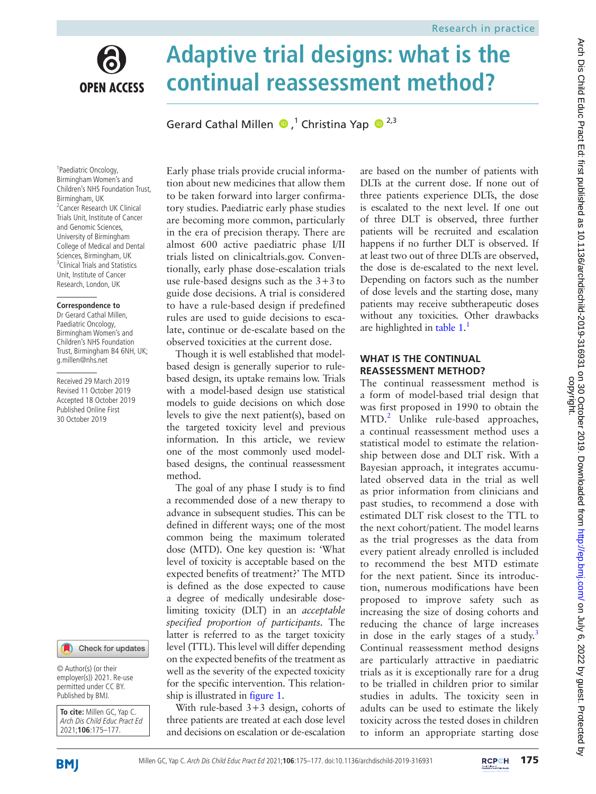

# **Adaptive trial designs: what is the continual reassessment method?**

Gerard Cathal Millen <sup>1</sup>, Christina Yap <sup>1,3</sup>

1 Paediatric Oncology, Birmingham Women's and Children's NHS Foundation Trust, Birmingham, UK <sup>2</sup> Cancer Research UK Clinical Trials Unit, Institute of Cancer and Genomic Sciences, University of Birmingham College of Medical and Dental Sciences, Birmingham, UK <sup>3</sup> Clinical Trials and Statistics Unit, Institute of Cancer Research, London, UK

#### **Correspondence to**

Dr Gerard Cathal Millen, Paediatric Oncology, Birmingham Women's and Children's NHS Foundation Trust, Birmingham B4 6NH, UK; g.millen@nhs.net

Received 29 March 2019 Revised 11 October 2019 Accepted 18 October 2019 Published Online First 30 October 2019



© Author(s) (or their employer(s)) 2021. Re-use permitted under CC BY. Published by BMJ.

**To cite:** Millen GC, Yap C. Arch Dis Child Educ Pract Ed 2021;**106**:175–177.

Early phase trials provide crucial information about new medicines that allow them to be taken forward into larger confirmatory studies. Paediatric early phase studies are becoming more common, particularly in the era of precision therapy. There are almost 600 active paediatric phase I/II trials listed on clinicaltrials.gov. Conventionally, early phase dose-escalation trials use rule-based designs such as the  $3+3$  to guide dose decisions. A trial is considered to have a rule-based design if predefined rules are used to guide decisions to escalate, continue or de-escalate based on the observed toxicities at the current dose.

Though it is well established that modelbased design is generally superior to rulebased design, its uptake remains low. Trials with a model-based design use statistical models to guide decisions on which dose levels to give the next patient(s), based on the targeted toxicity level and previous information. In this article, we review one of the most commonly used modelbased designs, the continual reassessment method.

The goal of any phase I study is to find a recommended dose of a new therapy to advance in subsequent studies. This can be defined in different ways; one of the most common being the maximum tolerated dose (MTD). One key question is: 'What level of toxicity is acceptable based on the expected benefits of treatment?' The MTD is defined as the dose expected to cause a degree of medically undesirable doselimiting toxicity (DLT) in an *acceptable specified proportion of participants*. The latter is referred to as the target toxicity level (TTL). This level will differ depending on the expected benefits of the treatment as well as the severity of the expected toxicity for the specific intervention. This relationship is illustrated in [figure](#page-1-0) 1.

With rule-based 3+3 design, cohorts of three patients are treated at each dose level and decisions on escalation or de-escalation are based on the number of patients with DLTs at the current dose. If none out of three patients experience DLTs, the dose is escalated to the next level. If one out of three DLT is observed, three further patients will be recruited and escalation happens if no further DLT is observed. If at least two out of three DLTs are observed, the dose is de-escalated to the next level. Depending on factors such as the number of dose levels and the starting dose, many patients may receive subtherapeutic doses without any toxicities. Other drawbacks are highlighted in [table](#page-1-1) [1](#page-2-0).<sup>1</sup>

# **What is the continual reassessment method?**

The continual reassessment method is a form of model-based trial design that was first proposed in 1990 to obtain the MTD.<sup>[2](#page-2-1)</sup> Unlike rule-based approaches, a continual reassessment method uses a statistical model to estimate the relationship between dose and DLT risk. With a Bayesian approach, it integrates accumulated observed data in the trial as well as prior information from clinicians and past studies, to recommend a dose with estimated DLT risk closest to the TTL to the next cohort/patient. The model learns as the trial progresses as the data from every patient already enrolled is included to recommend the best MTD estimate for the next patient. Since its introduction, numerous modifications have been proposed to improve safety such as increasing the size of dosing cohorts and reducing the chance of large increases in dose in the early stages of a study.<sup>[3](#page-2-2)</sup> Continual reassessment method designs are particularly attractive in paediatric trials as it is exceptionally rare for a drug to be trialled in children prior to similar studies in adults. The toxicity seen in adults can be used to estimate the likely toxicity across the tested doses in children to inform an appropriate starting dose



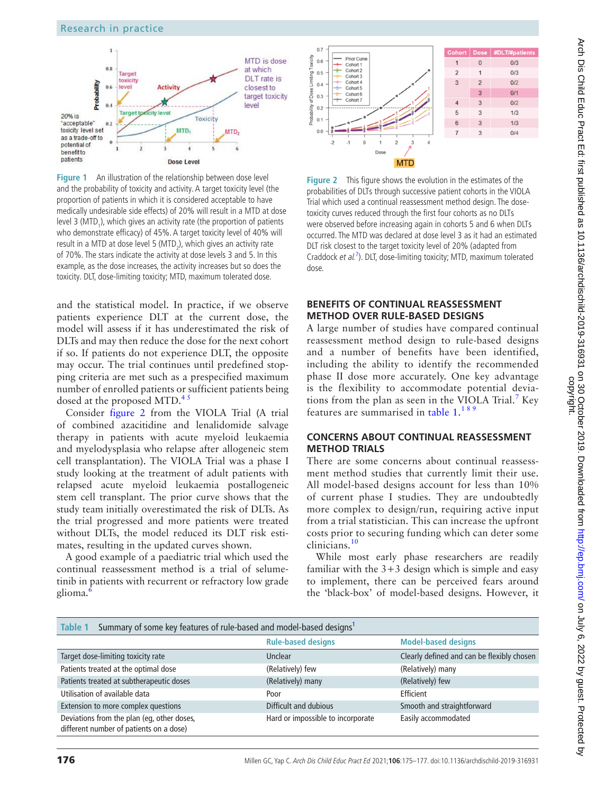

<span id="page-1-0"></span>**Figure 1** An illustration of the relationship between dose level and the probability of toxicity and activity. A target toxicity level (the proportion of patients in which it is considered acceptable to have medically undesirable side effects) of 20% will result in a MTD at dose level 3 (MTD<sub>1</sub>), which gives an activity rate (the proportion of patients who demonstrate efficacy) of 45%. A target toxicity level of 40% will result in a MTD at dose level 5 (MTD<sub>2</sub>), which gives an activity rate of 70%. The stars indicate the activity at dose levels 3 and 5. In this example, as the dose increases, the activity increases but so does the toxicity. DLT, dose-limiting toxicity; MTD, maximum tolerated dose.

and the statistical model. In practice, if we observe patients experience DLT at the current dose, the model will assess if it has underestimated the risk of DLTs and may then reduce the dose for the next cohort if so. If patients do not experience DLT, the opposite may occur. The trial continues until predefined stopping criteria are met such as a prespecified maximum number of enrolled patients or sufficient patients being dosed at the proposed MTD.<sup>45</sup>

Consider [figure](#page-1-2) 2 from the VIOLA Trial (A trial of combined azacitidine and lenalidomide salvage therapy in patients with acute myeloid leukaemia and myelodysplasia who relapse after allogeneic stem cell transplantation). The VIOLA Trial was a phase I study looking at the treatment of adult patients with relapsed acute myeloid leukaemia postallogeneic stem cell transplant. The prior curve shows that the study team initially overestimated the risk of DLTs. As the trial progressed and more patients were treated without DLTs, the model reduced its DLT risk estimates, resulting in the updated curves shown.

A good example of a paediatric trial which used the continual reassessment method is a trial of selumetinib in patients with recurrent or refractory low grade glioma.<sup>6</sup>



<span id="page-1-2"></span>**Figure 2** This figure shows the evolution in the estimates of the probabilities of DLTs through successive patient cohorts in the VIOLA Trial which used a continual reassessment method design. The dosetoxicity curves reduced through the first four cohorts as no DLTs were observed before increasing again in cohorts 5 and 6 when DLTs occurred. The MTD was declared at dose level 3 as it had an estimated DLT risk closest to the target toxicity level of 20% (adapted from Craddock et  $al^7$  $al^7$ ). DLT, dose-limiting toxicity; MTD, maximum tolerated dose.

# **Benefits of continual reassessment method over rule-based designs**

A large number of studies have compared continual reassessment method design to rule-based designs and a number of benefits have been identified, including the ability to identify the recommended phase II dose more accurately. One key advantage is the flexibility to accommodate potential devia-tions from the plan as seen in the VIOLA Trial.<sup>[7](#page-2-3)</sup> Key features are summarised in [table](#page-1-1) 1.<sup>189</sup>

# **Concerns about continual reassessment method trials**

There are some concerns about continual reassessment method studies that currently limit their use. All model-based designs account for less than 10% of current phase I studies. They are undoubtedly more complex to design/run, requiring active input from a trial statistician. This can increase the upfront costs prior to securing funding which can deter some clinicians.[10](#page-2-6)

While most early phase researchers are readily familiar with the  $3+3$  design which is simple and easy to implement, there can be perceived fears around the 'black-box' of model-based designs. However, it

<span id="page-1-1"></span>

| Summary of some key features of rule-based and model-based designs <sup>1</sup><br>Table 1 |                                   |                                            |
|--------------------------------------------------------------------------------------------|-----------------------------------|--------------------------------------------|
|                                                                                            | <b>Rule-based designs</b>         | <b>Model-based designs</b>                 |
| Target dose-limiting toxicity rate                                                         | Unclear                           | Clearly defined and can be flexibly chosen |
| Patients treated at the optimal dose                                                       | (Relatively) few                  | (Relatively) many                          |
| Patients treated at subtherapeutic doses                                                   | (Relatively) many                 | (Relatively) few                           |
| Utilisation of available data                                                              | Poor                              | Efficient                                  |
| Extension to more complex questions                                                        | Difficult and dubious             | Smooth and straightforward                 |
| Deviations from the plan (eg, other doses,<br>different number of patients on a dose)      | Hard or impossible to incorporate | Easily accommodated                        |